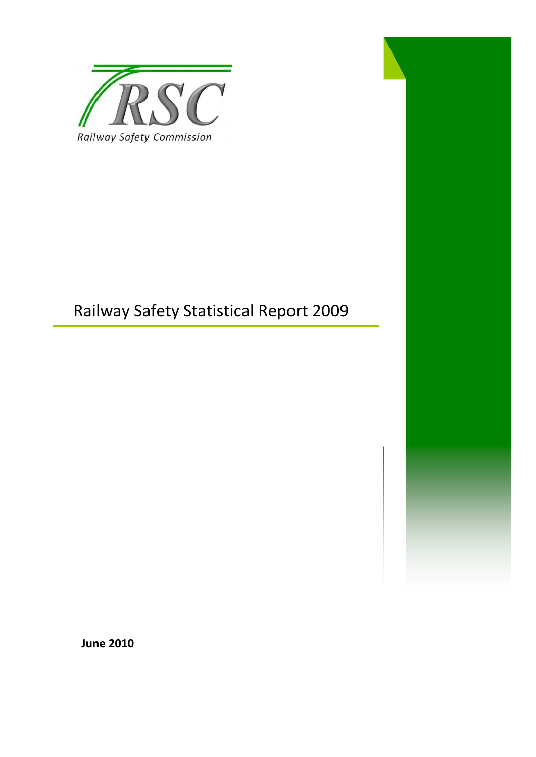

# Railway Safety Statistical Report 2009

**June 2010**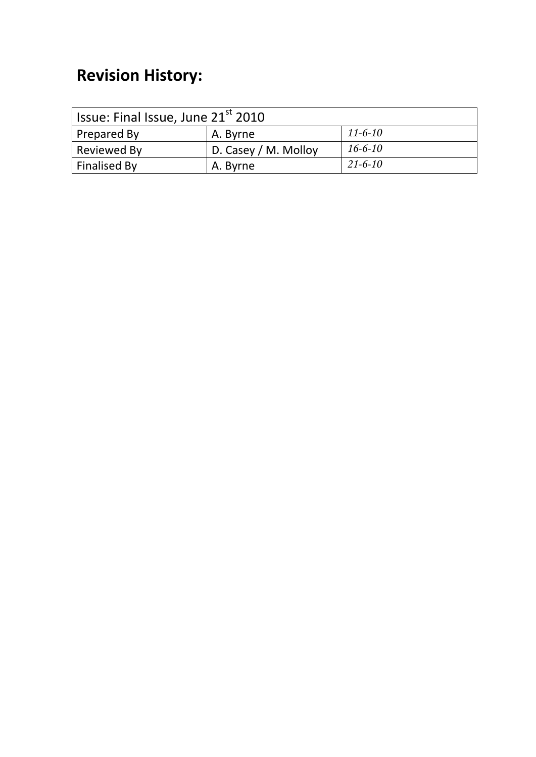# **Revision History:**

| <sup>1</sup> Issue: Final Issue, June 21 <sup>st</sup> 2010 |                      |               |  |
|-------------------------------------------------------------|----------------------|---------------|--|
| Prepared By                                                 | A. Byrne             | $11 - 6 - 10$ |  |
| Reviewed By                                                 | D. Casey / M. Molloy | $16 - 6 - 10$ |  |
| Finalised By                                                | A. Byrne             | $21 - 6 - 10$ |  |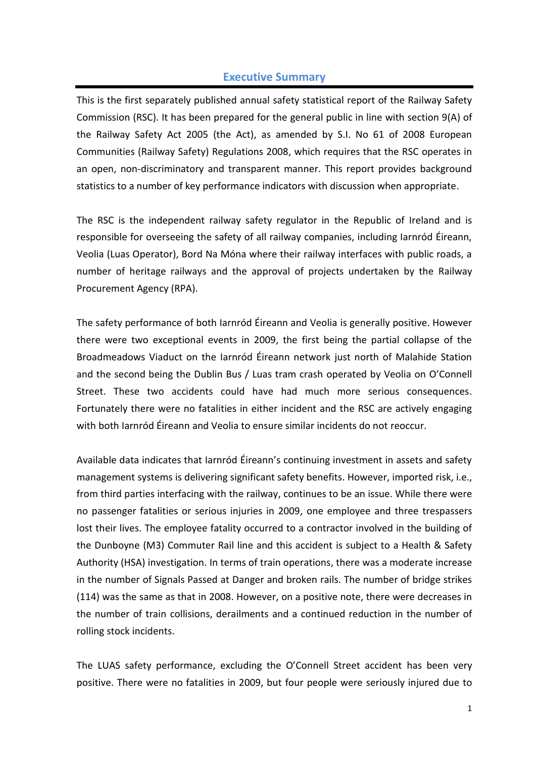#### **Executive Summary**

This is the first separately published annual safety statistical report of the Railway Safety Commission (RSC). It has been prepared for the general public in line with section 9(A) of the Railway Safety Act 2005 (the Act), as amended by S.I. No 61 of 2008 European Communities (Railway Safety) Regulations 2008, which requires that the RSC operates in an open, non-discriminatory and transparent manner. This report provides background statistics to a number of key performance indicators with discussion when appropriate.

The RSC is the independent railway safety regulator in the Republic of Ireland and is responsible for overseeing the safety of all railway companies, including Iarnród Éireann, Veolia (Luas Operator), Bord Na Móna where their railway interfaces with public roads, a number of heritage railways and the approval of projects undertaken by the Railway Procurement Agency (RPA).

The safety performance of both Iarnród Éireann and Veolia is generally positive. However there were two exceptional events in 2009, the first being the partial collapse of the Broadmeadows Viaduct on the Iarnród Éireann network just north of Malahide Station and the second being the Dublin Bus / Luas tram crash operated by Veolia on O'Connell Street. These two accidents could have had much more serious consequences. Fortunately there were no fatalities in either incident and the RSC are actively engaging with both Iarnród Éireann and Veolia to ensure similar incidents do not reoccur.

Available data indicates that Iarnród Éireann's continuing investment in assets and safety management systems is delivering significant safety benefits. However, imported risk, i.e., from third parties interfacing with the railway, continues to be an issue. While there were no passenger fatalities or serious injuries in 2009, one employee and three trespassers lost their lives. The employee fatality occurred to a contractor involved in the building of the Dunboyne (M3) Commuter Rail line and this accident is subject to a Health & Safety Authority (HSA) investigation. In terms of train operations, there was a moderate increase in the number of Signals Passed at Danger and broken rails. The number of bridge strikes (114) was the same as that in 2008. However, on a positive note, there were decreases in the number of train collisions, derailments and a continued reduction in the number of rolling stock incidents.

The LUAS safety performance, excluding the O'Connell Street accident has been very positive. There were no fatalities in 2009, but four people were seriously injured due to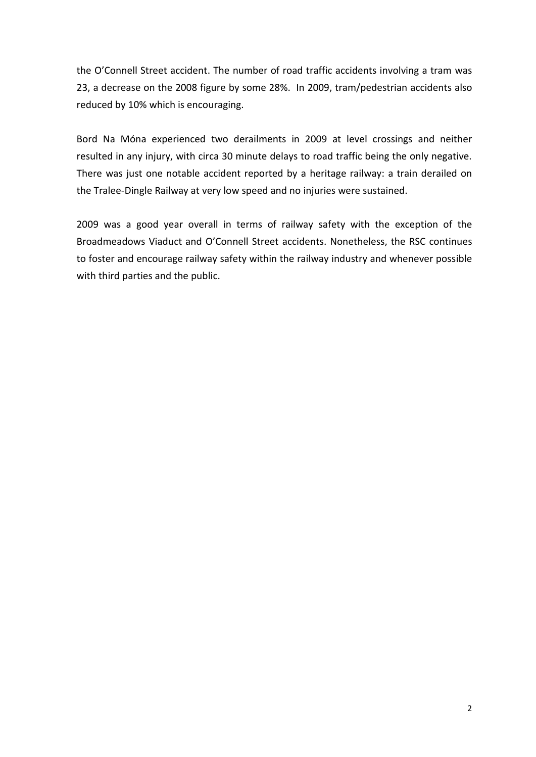the O'Connell Street accident. The number of road traffic accidents involving a tram was 23, a decrease on the 2008 figure by some 28%. In 2009, tram/pedestrian accidents also reduced by 10% which is encouraging.

Bord Na Móna experienced two derailments in 2009 at level crossings and neither resulted in any injury, with circa 30 minute delays to road traffic being the only negative. There was just one notable accident reported by a heritage railway: a train derailed on the Tralee-Dingle Railway at very low speed and no injuries were sustained.

2009 was a good year overall in terms of railway safety with the exception of the Broadmeadows Viaduct and O'Connell Street accidents. Nonetheless, the RSC continues to foster and encourage railway safety within the railway industry and whenever possible with third parties and the public.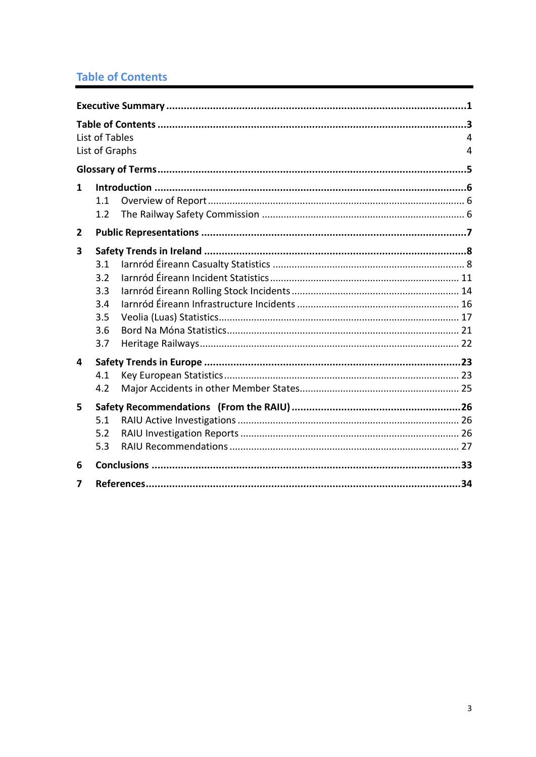# **Table of Contents**

|   | List of Tables<br>List of Graphs              | 4<br>4 |  |  |  |
|---|-----------------------------------------------|--------|--|--|--|
|   |                                               |        |  |  |  |
| 1 | 1.1<br>1.2                                    |        |  |  |  |
| 2 |                                               |        |  |  |  |
| 3 | 3.1<br>3.2<br>3.3<br>3.4<br>3.5<br>3.6<br>3.7 |        |  |  |  |
| 4 |                                               |        |  |  |  |
|   | 4.1<br>4.2                                    |        |  |  |  |
| 5 | 5.1<br>5.2<br>5.3                             |        |  |  |  |
| 6 |                                               |        |  |  |  |
| 7 |                                               |        |  |  |  |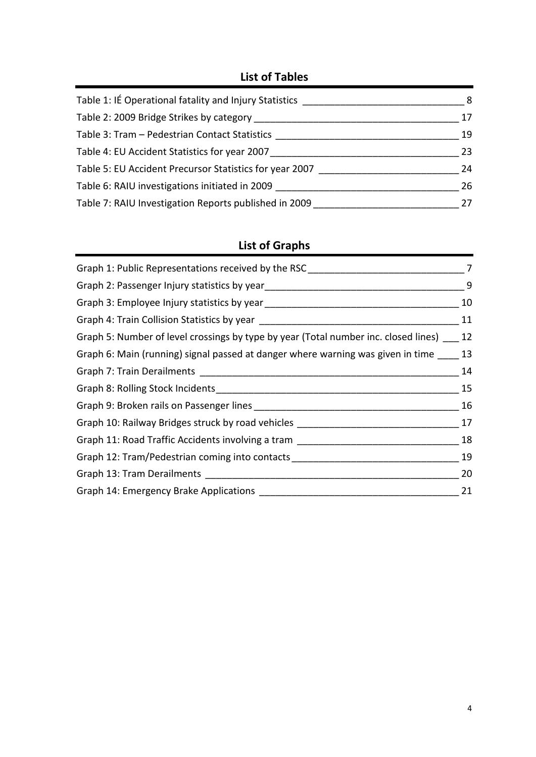## **List of Tables**

| Table 1: IÉ Operational fatality and Injury Statistics  | 8  |
|---------------------------------------------------------|----|
| Table 2: 2009 Bridge Strikes by category                | 17 |
| Table 3: Tram - Pedestrian Contact Statistics           | 19 |
| Table 4: EU Accident Statistics for year 2007           | 23 |
| Table 5: EU Accident Precursor Statistics for year 2007 | 24 |
| Table 6: RAIU investigations initiated in 2009          | 26 |
| Table 7: RAIU Investigation Reports published in 2009   | 27 |

# **List of Graphs**

| Graph 1: Public Representations received by the RSC                                 | 7  |
|-------------------------------------------------------------------------------------|----|
| Graph 2: Passenger Injury statistics by year                                        | 9  |
|                                                                                     | 10 |
|                                                                                     | 11 |
| Graph 5: Number of level crossings by type by year (Total number inc. closed lines) | 12 |
| Graph 6: Main (running) signal passed at danger where warning was given in time     | 13 |
|                                                                                     | 14 |
|                                                                                     | 15 |
|                                                                                     | 16 |
| Graph 10: Railway Bridges struck by road vehicles ___                               | 17 |
| Graph 11: Road Traffic Accidents involving a tram                                   | 18 |
| Graph 12: Tram/Pedestrian coming into contacts                                      | 19 |
|                                                                                     | 20 |
| Graph 14: Emergency Brake Applications                                              | 21 |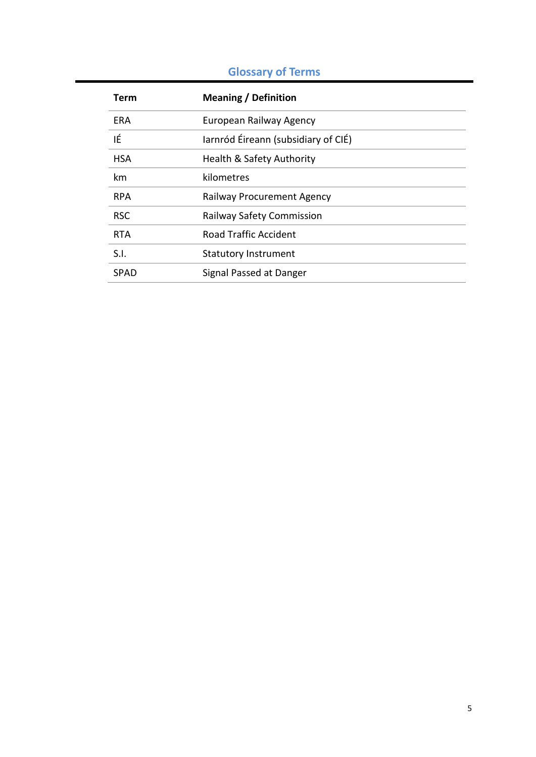# **Glossary of Terms**

| Term       | <b>Meaning / Definition</b>         |
|------------|-------------------------------------|
| ERA        | European Railway Agency             |
| ΙÉ         | larnród Éireann (subsidiary of CIÉ) |
| <b>HSA</b> | Health & Safety Authority           |
| km         | kilometres                          |
| <b>RPA</b> | <b>Railway Procurement Agency</b>   |
| <b>RSC</b> | <b>Railway Safety Commission</b>    |
| <b>RTA</b> | <b>Road Traffic Accident</b>        |
| S.I.       | <b>Statutory Instrument</b>         |
| SPAD       | Signal Passed at Danger             |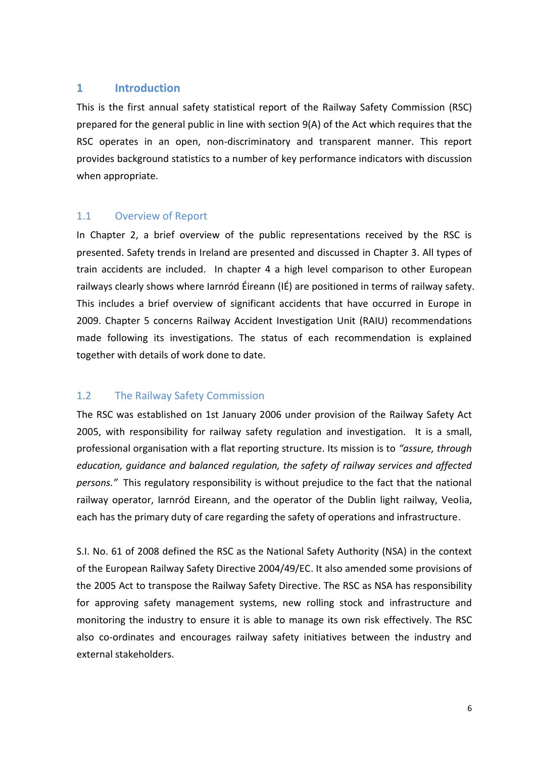#### **1 Introduction**

This is the first annual safety statistical report of the Railway Safety Commission (RSC) prepared for the general public in line with section 9(A) of the Act which requires that the RSC operates in an open, non-discriminatory and transparent manner. This report provides background statistics to a number of key performance indicators with discussion when appropriate.

#### 1.1 Overview of Report

In Chapter 2, a brief overview of the public representations received by the RSC is presented. Safety trends in Ireland are presented and discussed in Chapter 3. All types of train accidents are included. In chapter 4 a high level comparison to other European railways clearly shows where Iarnród Éireann (IÉ) are positioned in terms of railway safety. This includes a brief overview of significant accidents that have occurred in Europe in 2009. Chapter 5 concerns Railway Accident Investigation Unit (RAIU) recommendations made following its investigations. The status of each recommendation is explained together with details of work done to date.

#### 1.2 The Railway Safety Commission

The RSC was established on 1st January 2006 under provision of the Railway Safety Act 2005, with responsibility for railway safety regulation and investigation. It is a small, professional organisation with a flat reporting structure. Its mission is to *"assure, through education, guidance and balanced regulation, the safety of railway services and affected persons."* This regulatory responsibility is without prejudice to the fact that the national railway operator, Iarnród Eireann, and the operator of the Dublin light railway, Veolia, each has the primary duty of care regarding the safety of operations and infrastructure.

S.I. No. 61 of 2008 defined the RSC as the National Safety Authority (NSA) in the context of the European Railway Safety Directive 2004/49/EC. It also amended some provisions of the 2005 Act to transpose the Railway Safety Directive. The RSC as NSA has responsibility for approving safety management systems, new rolling stock and infrastructure and monitoring the industry to ensure it is able to manage its own risk effectively. The RSC also co-ordinates and encourages railway safety initiatives between the industry and external stakeholders.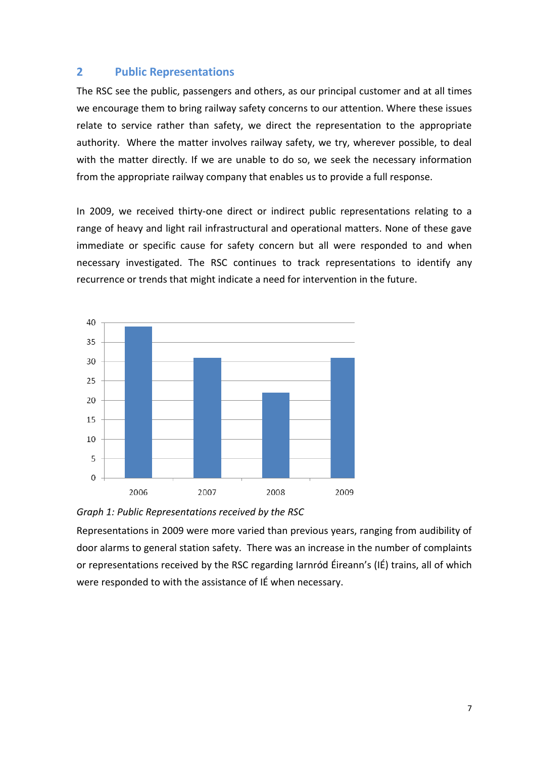#### **2 Public Representations**

The RSC see the public, passengers and others, as our principal customer and at all times we encourage them to bring railway safety concerns to our attention. Where these issues relate to service rather than safety, we direct the representation to the appropriate authority. Where the matter involves railway safety, we try, wherever possible, to deal with the matter directly. If we are unable to do so, we seek the necessary information from the appropriate railway company that enables us to provide a full response.

In 2009, we received thirty-one direct or indirect public representations relating to a range of heavy and light rail infrastructural and operational matters. None of these gave immediate or specific cause for safety concern but all were responded to and when necessary investigated. The RSC continues to track representations to identify any recurrence or trends that might indicate a need for intervention in the future.





Representations in 2009 were more varied than previous years, ranging from audibility of door alarms to general station safety. There was an increase in the number of complaints or representations received by the RSC regarding Iarnród Éireann's (IÉ) trains, all of which were responded to with the assistance of IÉ when necessary.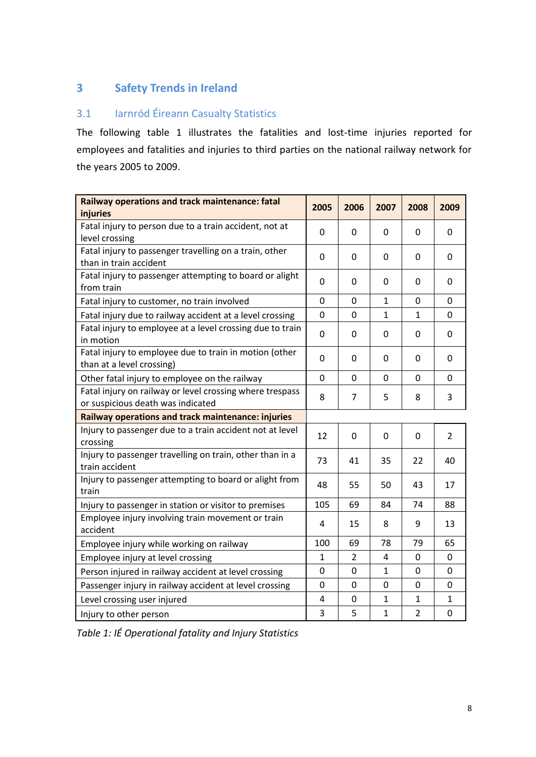# **3 Safety Trends in Ireland**

#### 3.1 Iarnród Éireann Casualty Statistics

The following table 1 illustrates the fatalities and lost-time injuries reported for employees and fatalities and injuries to third parties on the national railway network for the years 2005 to 2009.

| Railway operations and track maintenance: fatal<br>injuries                                   | 2005             | 2006           | 2007         | 2008             | 2009           |
|-----------------------------------------------------------------------------------------------|------------------|----------------|--------------|------------------|----------------|
| Fatal injury to person due to a train accident, not at<br>level crossing                      | $\mathbf 0$      | 0              | 0            | 0                | 0              |
| Fatal injury to passenger travelling on a train, other<br>than in train accident              | 0                | 0              | $\mathbf 0$  | $\mathbf 0$      | 0              |
| Fatal injury to passenger attempting to board or alight<br>from train                         | 0                | 0              | $\mathbf 0$  | $\mathbf 0$      | 0              |
| Fatal injury to customer, no train involved                                                   | $\mathbf 0$      | $\mathbf 0$    | $\mathbf 1$  | $\mathbf 0$      | $\overline{0}$ |
| Fatal injury due to railway accident at a level crossing                                      | 0                | 0              | $\mathbf 1$  | $\mathbf{1}$     | 0              |
| Fatal injury to employee at a level crossing due to train<br>in motion                        | $\mathbf 0$      | 0              | $\mathbf 0$  | $\mathbf 0$      | $\mathbf 0$    |
| Fatal injury to employee due to train in motion (other<br>than at a level crossing)           | 0                | 0              | $\mathbf 0$  | 0                | 0              |
| Other fatal injury to employee on the railway                                                 | $\mathbf 0$      | 0              | 0            | 0                | 0              |
| Fatal injury on railway or level crossing where trespass<br>or suspicious death was indicated | 8                | 7              | 5            | 8                | 3              |
| Railway operations and track maintenance: injuries                                            |                  |                |              |                  |                |
| Injury to passenger due to a train accident not at level<br>crossing                          | 12               | 0              | 0            | 0                | $\overline{2}$ |
| Injury to passenger travelling on train, other than in a<br>train accident                    | 73               | 41             | 35           | 22               | 40             |
| Injury to passenger attempting to board or alight from<br>train                               |                  | 55             | 50           | 43               | 17             |
| Injury to passenger in station or visitor to premises                                         | 105              | 69             | 84           | 74               | 88             |
| Employee injury involving train movement or train<br>accident                                 |                  | 15             | 8            | 9                | 13             |
| Employee injury while working on railway                                                      |                  | 69             | 78           | 79               | 65             |
| Employee injury at level crossing                                                             |                  | $\overline{2}$ | 4            | 0                | 0              |
| Person injured in railway accident at level crossing                                          |                  | $\mathbf 0$    | $\mathbf{1}$ | $\mathbf 0$      | 0              |
| Passenger injury in railway accident at level crossing                                        | $\boldsymbol{0}$ | 0              | 0            | $\boldsymbol{0}$ | 0              |
| Level crossing user injured                                                                   | 4                | 0              | $\mathbf{1}$ | $\mathbf{1}$     | $\mathbf{1}$   |
| Injury to other person                                                                        | 3                | 5              | $\mathbf{1}$ | $\overline{2}$   | 0              |

*Table 1: IÉ Operational fatality and Injury Statistics*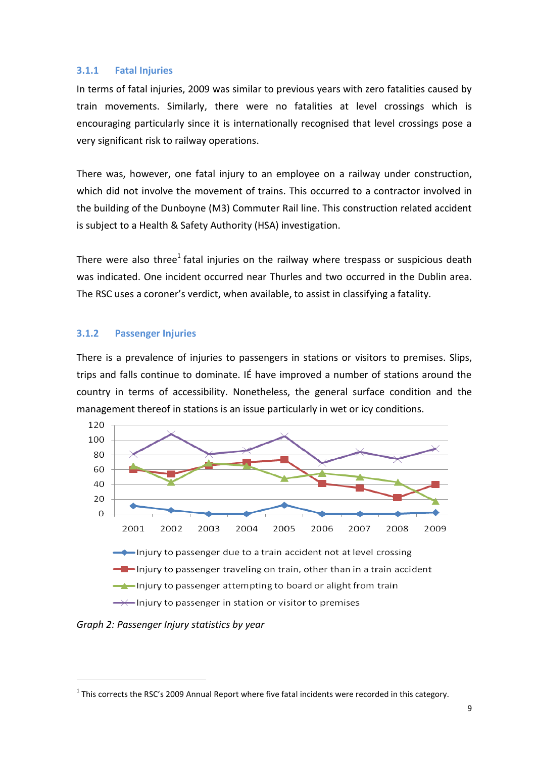#### **3.1.1 Fatal Injuries**

In terms of fatal injuries, 2009 was similar to previous years with zero fatalities caused by train movements. Similarly, there were no fatalities at level crossings which is encouraging particularly since it is internationally recognised that level crossings pose a very significant risk to railway operations.

There was, however, one fatal injury to an employee on a railway under construction, which did not involve the movement of trains. This occurred to a contractor involved in the building of the Dunboyne (M3) Commuter Rail line. This construction related accident is subject to a Health & Safety Authority (HSA) investigation.

There were also three<sup>1</sup> fatal injuries on the railway where trespass or suspicious death was indicated. One incident occurred near Thurles and two occurred in the Dublin area. The RSC uses a coroner's verdict, when available, to assist in classifying a fatality.

#### **3.1.2 Passenger Injuries**

There is a prevalence of injuries to passengers in stations or visitors to premises. Slips, trips and falls continue to dominate. IÉ have improved a number of stations around the country in terms of accessibility. Nonetheless, the general surface condition and the management thereof in stations is an issue particularly in wet or icy conditions.



*Graph 2: Passenger Injury statistics by year*

**.** 

 $1$  This corrects the RSC's 2009 Annual Report where five fatal incidents were recorded in this category.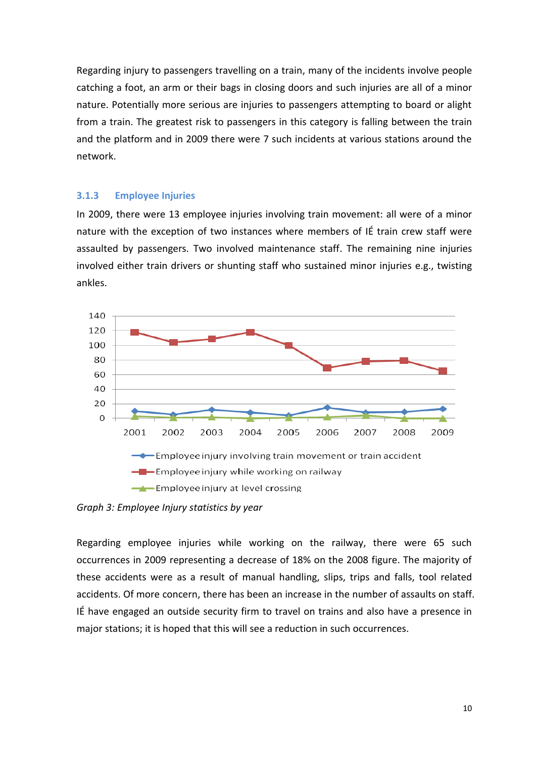Regarding injury to passengers travelling on a train, many of the incidents involve people catching a foot, an arm or their bags in closing doors and such injuries are all of a minor nature. Potentially more serious are injuries to passengers attempting to board or alight from a train. The greatest risk to passengers in this category is falling between the train and the platform and in 2009 there were 7 such incidents at various stations around the network.

#### **3.1.3 Employee Injuries**

In 2009, there were 13 employee injuries involving train movement: all were of a minor nature with the exception of two instances where members of IÉ train crew staff were assaulted by passengers. Two involved maintenance staff. The remaining nine injuries involved either train drivers or shunting staff who sustained minor injuries e.g., twisting ankles.



*Graph 3: Employee Injury statistics by year*

Regarding employee injuries while working on the railway, there were 65 such occurrences in 2009 representing a decrease of 18% on the 2008 figure. The majority of these accidents were as a result of manual handling, slips, trips and falls, tool related accidents. Of more concern, there has been an increase in the number of assaults on staff. IÉ have engaged an outside security firm to travel on trains and also have a presence in major stations; it is hoped that this will see a reduction in such occurrences.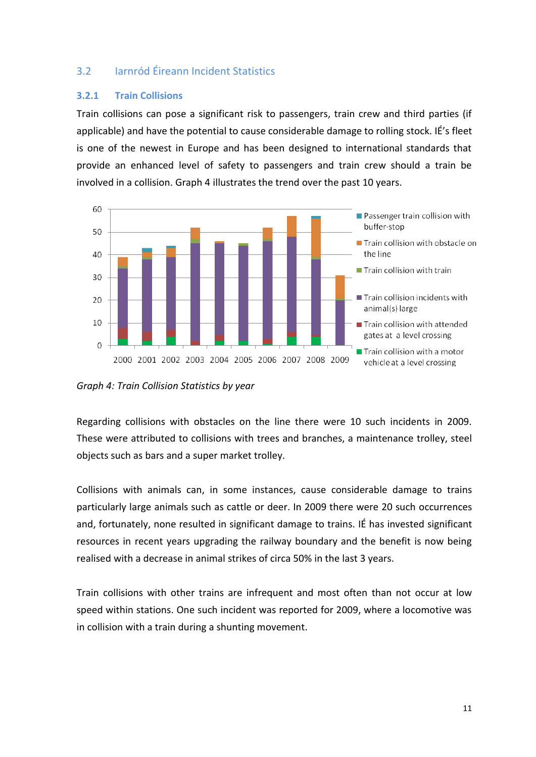#### 3.2 Iarnród Éireann Incident Statistics

#### **3.2.1 Train Collisions**

Train collisions can pose a significant risk to passengers, train crew and third parties (if applicable) and have the potential to cause considerable damage to rolling stock. IÉ's fleet is one of the newest in Europe and has been designed to international standards that provide an enhanced level of safety to passengers and train crew should a train be involved in a collision. Graph 4 illustrates the trend over the past 10 years.



*Graph 4: Train Collision Statistics by year*

Regarding collisions with obstacles on the line there were 10 such incidents in 2009. These were attributed to collisions with trees and branches, a maintenance trolley, steel objects such as bars and a super market trolley.

Collisions with animals can, in some instances, cause considerable damage to trains particularly large animals such as cattle or deer. In 2009 there were 20 such occurrences and, fortunately, none resulted in significant damage to trains. IÉ has invested significant resources in recent years upgrading the railway boundary and the benefit is now being realised with a decrease in animal strikes of circa 50% in the last 3 years.

Train collisions with other trains are infrequent and most often than not occur at low speed within stations. One such incident was reported for 2009, where a locomotive was in collision with a train during a shunting movement.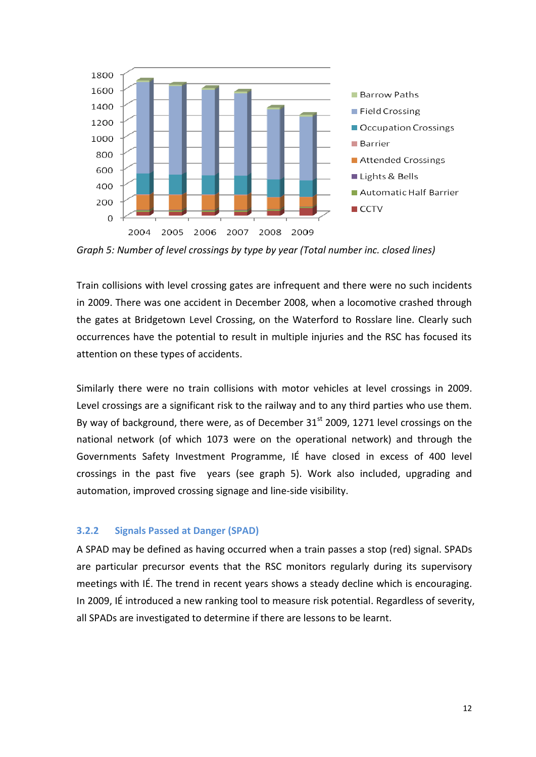

*Graph 5: Number of level crossings by type by year (Total number inc. closed lines)*

Train collisions with level crossing gates are infrequent and there were no such incidents in 2009. There was one accident in December 2008, when a locomotive crashed through the gates at Bridgetown Level Crossing, on the Waterford to Rosslare line. Clearly such occurrences have the potential to result in multiple injuries and the RSC has focused its attention on these types of accidents.

Similarly there were no train collisions with motor vehicles at level crossings in 2009. Level crossings are a significant risk to the railway and to any third parties who use them. By way of background, there were, as of December  $31<sup>st</sup>$  2009, 1271 level crossings on the national network (of which 1073 were on the operational network) and through the Governments Safety Investment Programme, IÉ have closed in excess of 400 level crossings in the past five years (see graph 5). Work also included, upgrading and automation, improved crossing signage and line-side visibility.

#### **3.2.2 Signals Passed at Danger (SPAD)**

A SPAD may be defined as having occurred when a train passes a stop (red) signal. SPADs are particular precursor events that the RSC monitors regularly during its supervisory meetings with IÉ. The trend in recent years shows a steady decline which is encouraging. In 2009, IÉ introduced a new ranking tool to measure risk potential. Regardless of severity, all SPADs are investigated to determine if there are lessons to be learnt.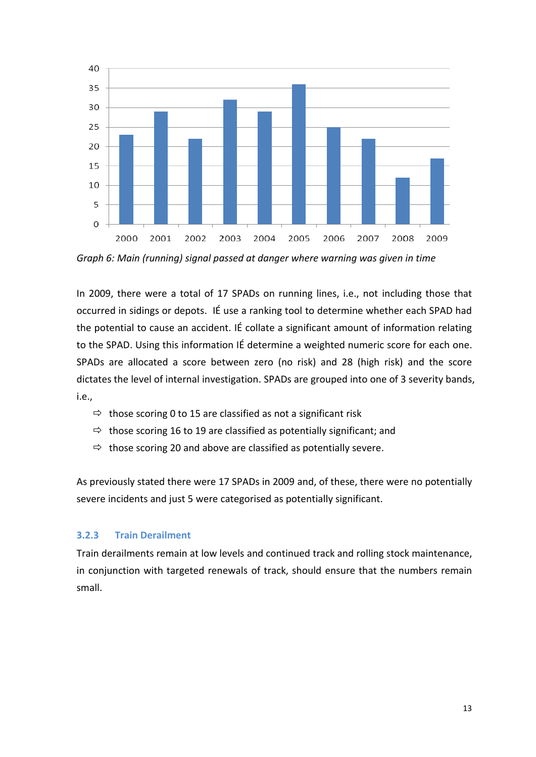

*Graph 6: Main (running) signal passed at danger where warning was given in time*

In 2009, there were a total of 17 SPADs on running lines, i.e., not including those that occurred in sidings or depots. IÉ use a ranking tool to determine whether each SPAD had the potential to cause an accident. IÉ collate a significant amount of information relating to the SPAD. Using this information IÉ determine a weighted numeric score for each one. SPADs are allocated a score between zero (no risk) and 28 (high risk) and the score dictates the level of internal investigation. SPADs are grouped into one of 3 severity bands, i.e.,

- $\Rightarrow$  those scoring 0 to 15 are classified as not a significant risk
- $\Rightarrow$  those scoring 16 to 19 are classified as potentially significant; and
- $\Rightarrow$  those scoring 20 and above are classified as potentially severe.

As previously stated there were 17 SPADs in 2009 and, of these, there were no potentially severe incidents and just 5 were categorised as potentially significant.

#### **3.2.3 Train Derailment**

Train derailments remain at low levels and continued track and rolling stock maintenance, in conjunction with targeted renewals of track, should ensure that the numbers remain small.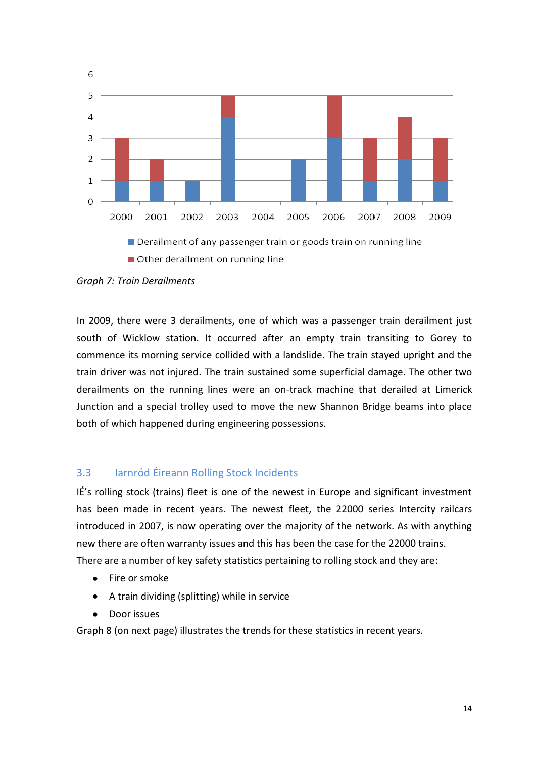

Other derailment on running line

*Graph 7: Train Derailments*

In 2009, there were 3 derailments, one of which was a passenger train derailment just south of Wicklow station. It occurred after an empty train transiting to Gorey to commence its morning service collided with a landslide. The train stayed upright and the train driver was not injured. The train sustained some superficial damage. The other two derailments on the running lines were an on-track machine that derailed at Limerick Junction and a special trolley used to move the new Shannon Bridge beams into place both of which happened during engineering possessions.

#### 3.3 Iarnród Éireann Rolling Stock Incidents

IÉ's rolling stock (trains) fleet is one of the newest in Europe and significant investment has been made in recent years. The newest fleet, the 22000 series Intercity railcars introduced in 2007, is now operating over the majority of the network. As with anything new there are often warranty issues and this has been the case for the 22000 trains. There are a number of key safety statistics pertaining to rolling stock and they are:

- Fire or smoke
- A train dividing (splitting) while in service
- Door issues

Graph 8 (on next page) illustrates the trends for these statistics in recent years.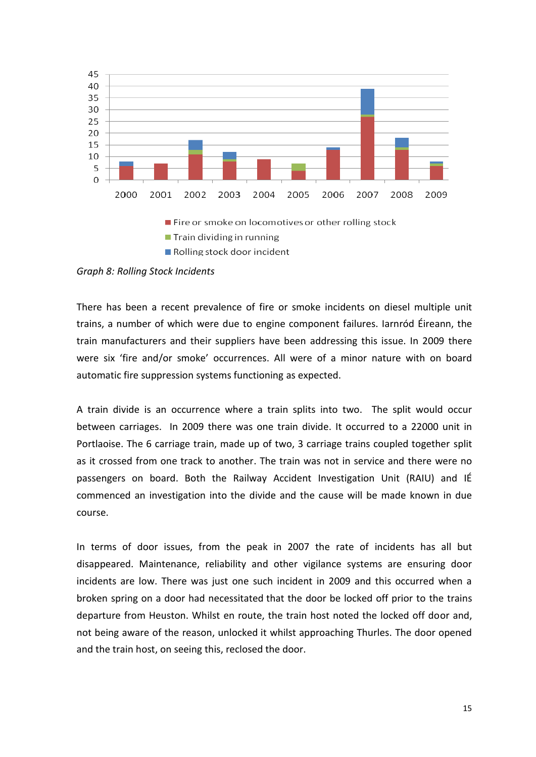

Rolling stock door incident

*Graph 8: Rolling Stock Incidents*

There has been a recent prevalence of fire or smoke incidents on diesel multiple unit trains, a number of which were due to engine component failures. Iarnród Éireann, the train manufacturers and their suppliers have been addressing this issue. In 2009 there were six 'fire and/or smoke' occurrences. All were of a minor nature with on board automatic fire suppression systems functioning as expected.

A train divide is an occurrence where a train splits into two. The split would occur between carriages. In 2009 there was one train divide. It occurred to a 22000 unit in Portlaoise. The 6 carriage train, made up of two, 3 carriage trains coupled together split as it crossed from one track to another. The train was not in service and there were no passengers on board. Both the Railway Accident Investigation Unit (RAIU) and IÉ commenced an investigation into the divide and the cause will be made known in due course.

In terms of door issues, from the peak in 2007 the rate of incidents has all but disappeared. Maintenance, reliability and other vigilance systems are ensuring door incidents are low. There was just one such incident in 2009 and this occurred when a broken spring on a door had necessitated that the door be locked off prior to the trains departure from Heuston. Whilst en route, the train host noted the locked off door and, not being aware of the reason, unlocked it whilst approaching Thurles. The door opened and the train host, on seeing this, reclosed the door.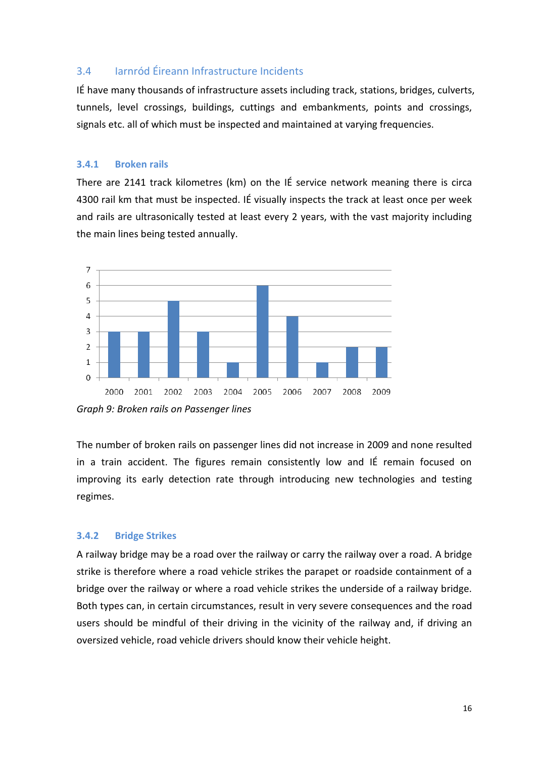#### 3.4 Iarnród Éireann Infrastructure Incidents

IÉ have many thousands of infrastructure assets including track, stations, bridges, culverts, tunnels, level crossings, buildings, cuttings and embankments, points and crossings, signals etc. all of which must be inspected and maintained at varying frequencies.

#### **3.4.1 Broken rails**

There are 2141 track kilometres (km) on the IÉ service network meaning there is circa 4300 rail km that must be inspected. IÉ visually inspects the track at least once per week and rails are ultrasonically tested at least every 2 years, with the vast majority including the main lines being tested annually.



*Graph 9: Broken rails on Passenger lines*

The number of broken rails on passenger lines did not increase in 2009 and none resulted in a train accident. The figures remain consistently low and IÉ remain focused on improving its early detection rate through introducing new technologies and testing regimes.

#### **3.4.2 Bridge Strikes**

A railway bridge may be a road over the railway or carry the railway over a road. A bridge strike is therefore where a road vehicle strikes the parapet or roadside containment of a bridge over the railway or where a road vehicle strikes the underside of a railway bridge. Both types can, in certain circumstances, result in very severe consequences and the road users should be mindful of their driving in the vicinity of the railway and, if driving an oversized vehicle, road vehicle drivers should know their vehicle height.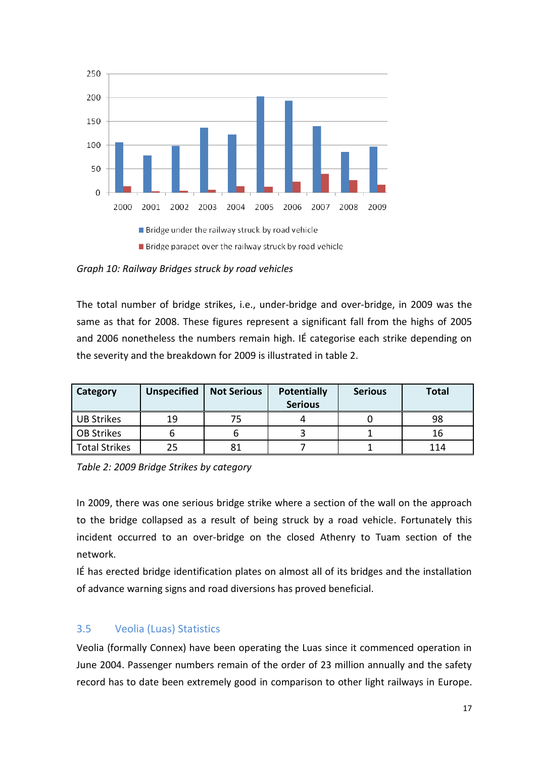

*Graph 10: Railway Bridges struck by road vehicles*

The total number of bridge strikes, i.e., under-bridge and over-bridge, in 2009 was the same as that for 2008. These figures represent a significant fall from the highs of 2005 and 2006 nonetheless the numbers remain high. IÉ categorise each strike depending on the severity and the breakdown for 2009 is illustrated in table 2.

| Category      | <b>Unspecified</b> | <b>Not Serious</b> | <b>Potentially</b><br><b>Serious</b> | <b>Serious</b> | <b>Total</b> |
|---------------|--------------------|--------------------|--------------------------------------|----------------|--------------|
| UB Strikes    | 19                 | 75                 |                                      |                | 98           |
| OB Strikes    |                    |                    |                                      |                | 16           |
| Total Strikes | 25                 | 81                 |                                      |                | 114          |

*Table 2: 2009 Bridge Strikes by category*

In 2009, there was one serious bridge strike where a section of the wall on the approach to the bridge collapsed as a result of being struck by a road vehicle. Fortunately this incident occurred to an over-bridge on the closed Athenry to Tuam section of the network.

IÉ has erected bridge identification plates on almost all of its bridges and the installation of advance warning signs and road diversions has proved beneficial.

#### 3.5 Veolia (Luas) Statistics

Veolia (formally Connex) have been operating the Luas since it commenced operation in June 2004. Passenger numbers remain of the order of 23 million annually and the safety record has to date been extremely good in comparison to other light railways in Europe.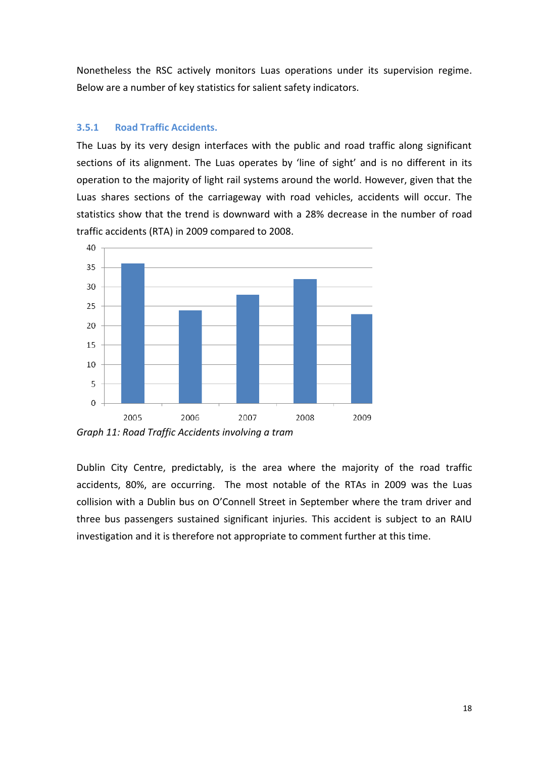Nonetheless the RSC actively monitors Luas operations under its supervision regime. Below are a number of key statistics for salient safety indicators.

#### **3.5.1 Road Traffic Accidents.**

The Luas by its very design interfaces with the public and road traffic along significant sections of its alignment. The Luas operates by 'line of sight' and is no different in its operation to the majority of light rail systems around the world. However, given that the Luas shares sections of the carriageway with road vehicles, accidents will occur. The statistics show that the trend is downward with a 28% decrease in the number of road traffic accidents (RTA) in 2009 compared to 2008.



*Graph 11: Road Traffic Accidents involving a tram*

Dublin City Centre, predictably, is the area where the majority of the road traffic accidents, 80%, are occurring. The most notable of the RTAs in 2009 was the Luas collision with a Dublin bus on O'Connell Street in September where the tram driver and three bus passengers sustained significant injuries. This accident is subject to an RAIU investigation and it is therefore not appropriate to comment further at this time.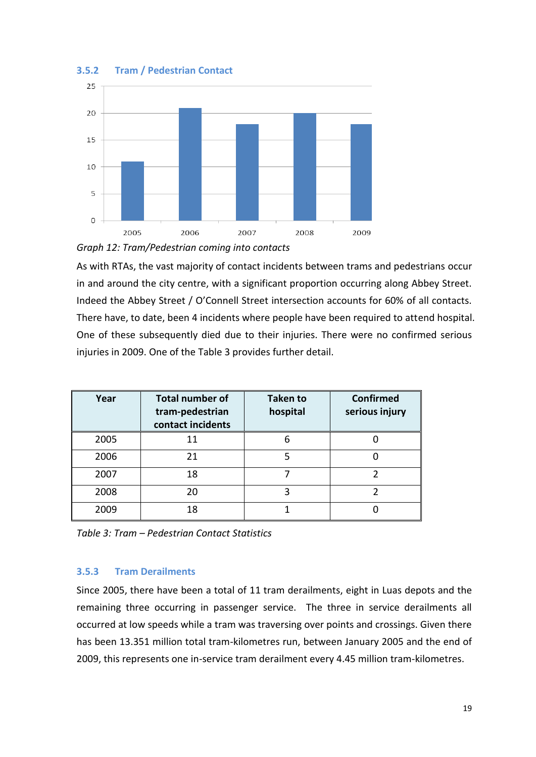

#### **3.5.2 Tram / Pedestrian Contact**



As with RTAs, the vast majority of contact incidents between trams and pedestrians occur in and around the city centre, with a significant proportion occurring along Abbey Street. Indeed the Abbey Street / O'Connell Street intersection accounts for 60% of all contacts. There have, to date, been 4 incidents where people have been required to attend hospital. One of these subsequently died due to their injuries. There were no confirmed serious injuries in 2009. One of the Table 3 provides further detail.

| Year | <b>Total number of</b><br>tram-pedestrian<br>contact incidents | <b>Taken to</b><br>hospital | <b>Confirmed</b><br>serious injury |
|------|----------------------------------------------------------------|-----------------------------|------------------------------------|
| 2005 | 11                                                             | 6                           |                                    |
| 2006 | 21                                                             |                             |                                    |
| 2007 | 18                                                             |                             |                                    |
| 2008 | 20                                                             | 3                           |                                    |
| 2009 | 18                                                             |                             |                                    |

*Table 3: Tram – Pedestrian Contact Statistics*

#### **3.5.3 Tram Derailments**

Since 2005, there have been a total of 11 tram derailments, eight in Luas depots and the remaining three occurring in passenger service. The three in service derailments all occurred at low speeds while a tram was traversing over points and crossings. Given there has been 13.351 million total tram-kilometres run, between January 2005 and the end of 2009, this represents one in-service tram derailment every 4.45 million tram-kilometres.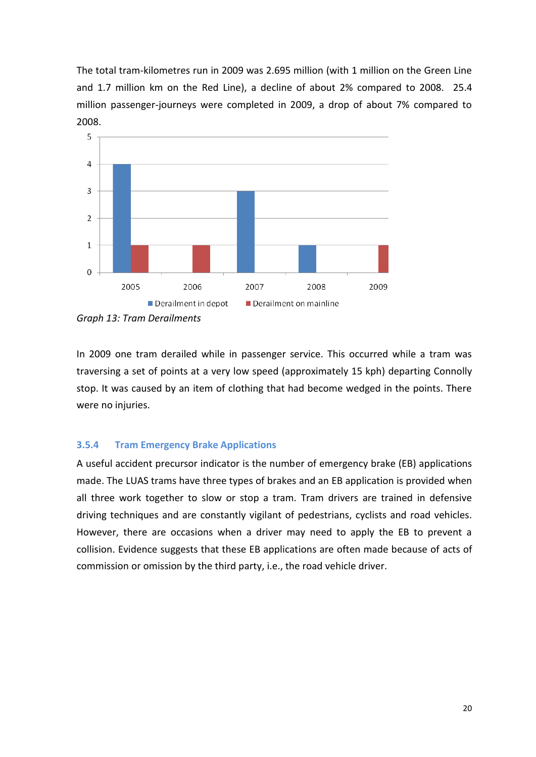The total tram-kilometres run in 2009 was 2.695 million (with 1 million on the Green Line and 1.7 million km on the Red Line), a decline of about 2% compared to 2008. 25.4 million passenger-journeys were completed in 2009, a drop of about 7% compared to 2008.



*Graph 13: Tram Derailments*

In 2009 one tram derailed while in passenger service. This occurred while a tram was traversing a set of points at a very low speed (approximately 15 kph) departing Connolly stop. It was caused by an item of clothing that had become wedged in the points. There were no injuries.

#### **3.5.4 Tram Emergency Brake Applications**

A useful accident precursor indicator is the number of emergency brake (EB) applications made. The LUAS trams have three types of brakes and an EB application is provided when all three work together to slow or stop a tram. Tram drivers are trained in defensive driving techniques and are constantly vigilant of pedestrians, cyclists and road vehicles. However, there are occasions when a driver may need to apply the EB to prevent a collision. Evidence suggests that these EB applications are often made because of acts of commission or omission by the third party, i.e., the road vehicle driver.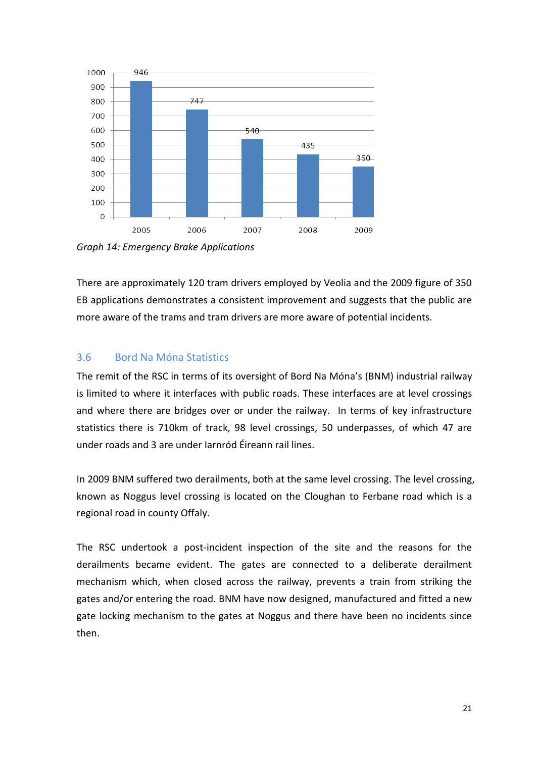

*Graph 14: Emergency Brake Applications*

There are approximately 120 tram drivers employed by Veolia and the 2009 figure of 350 EB applications demonstrates a consistent improvement and suggests that the public are more aware of the trams and tram drivers are more aware of potential incidents.

#### 3.6 Bord Na Móna Statistics

The remit of the RSC in terms of its oversight of Bord Na Móna's (BNM) industrial railway is limited to where it interfaces with public roads. These interfaces are at level crossings and where there are bridges over or under the railway. In terms of key infrastructure statistics there is 710km of track, 98 level crossings, 50 underpasses, of which 47 are under roads and 3 are under Iarnród Éireann rail lines.

In 2009 BNM suffered two derailments, both at the same level crossing. The level crossing, known as Noggus level crossing is located on the Cloughan to Ferbane road which is a regional road in county Offaly.

The RSC undertook a post-incident inspection of the site and the reasons for the derailments became evident. The gates are connected to a deliberate derailment mechanism which, when closed across the railway, prevents a train from striking the gates and/or entering the road. BNM have now designed, manufactured and fitted a new gate locking mechanism to the gates at Noggus and there have been no incidents since then.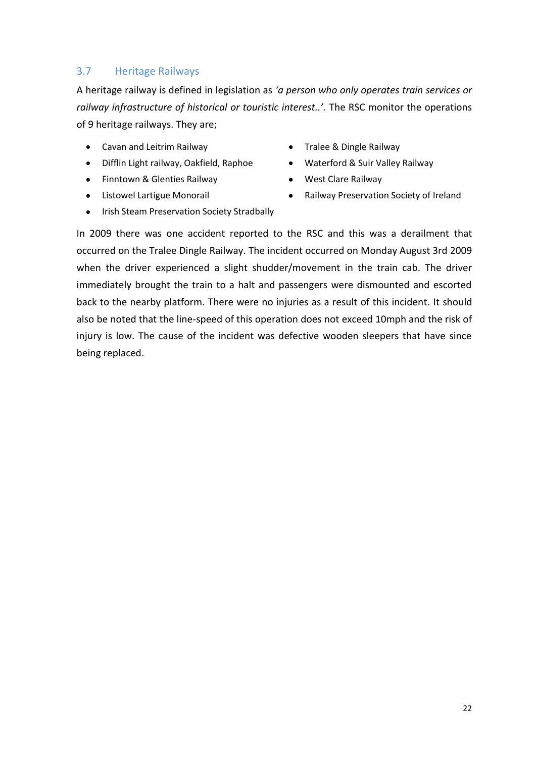#### 3.7 Heritage Railways

A heritage railway is defined in legislation as *'a person who only operates train services or railway infrastructure of historical or touristic interest..'.* The RSC monitor the operations of 9 heritage railways. They are;

- Cavan and Leitrim Railway **Tralee & Dingle Railway**
- Difflin Light railway, Oakfield, Raphoe Waterford & Suir Valley Railway  $\bullet$
- Finntown & Glenties Railway **Conserverse Clare August** Finntown & Glenties Railway  $\bullet$
- $\bullet$
- 
- 
- 
- Listowel Lartigue Monorail **Railway Preservation Society of Ireland**
- Irish Steam Preservation Society Stradbally  $\bullet$  .

In 2009 there was one accident reported to the RSC and this was a derailment that occurred on the Tralee Dingle Railway. The incident occurred on Monday August 3rd 2009 when the driver experienced a slight shudder/movement in the train cab. The driver immediately brought the train to a halt and passengers were dismounted and escorted back to the nearby platform. There were no injuries as a result of this incident. It should also be noted that the line-speed of this operation does not exceed 10mph and the risk of injury is low. The cause of the incident was defective wooden sleepers that have since being replaced.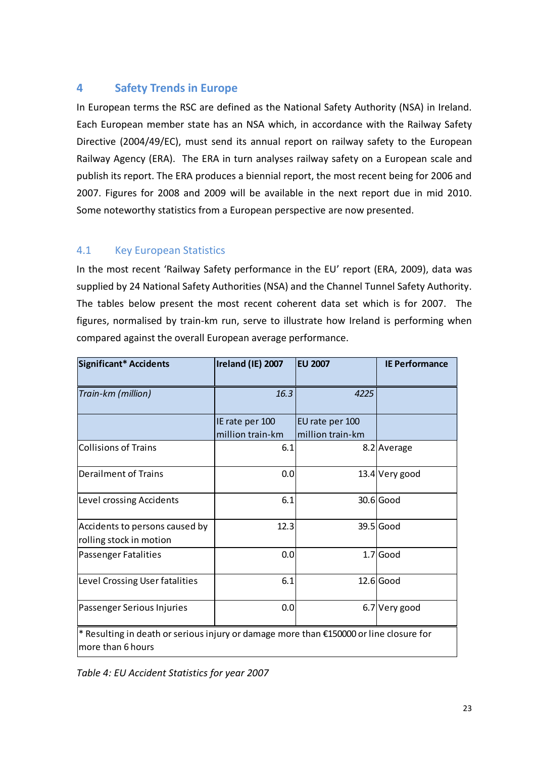### **4 Safety Trends in Europe**

In European terms the RSC are defined as the National Safety Authority (NSA) in Ireland. Each European member state has an NSA which, in accordance with the Railway Safety Directive (2004/49/EC), must send its annual report on railway safety to the European Railway Agency (ERA). The ERA in turn analyses railway safety on a European scale and publish its report. The ERA produces a biennial report, the most recent being for 2006 and 2007. Figures for 2008 and 2009 will be available in the next report due in mid 2010. Some noteworthy statistics from a European perspective are now presented.

#### 4.1 Key European Statistics

In the most recent 'Railway Safety performance in the EU' report (ERA, 2009), data was supplied by 24 National Safety Authorities (NSA) and the Channel Tunnel Safety Authority. The tables below present the most recent coherent data set which is for 2007. The figures, normalised by train-km run, serve to illustrate how Ireland is performing when compared against the overall European average performance.

| Significant* Accidents                                                                                      | Ireland (IE) 2007 | <b>EU 2007</b>   | <b>IE Performance</b> |  |
|-------------------------------------------------------------------------------------------------------------|-------------------|------------------|-----------------------|--|
| Train-km (million)                                                                                          | 16.3              | 4225             |                       |  |
|                                                                                                             | IE rate per 100   | EU rate per 100  |                       |  |
|                                                                                                             | million train-km  | million train-km |                       |  |
| <b>Collisions of Trains</b>                                                                                 | 6.1               |                  | 8.2 Average           |  |
| <b>Derailment of Trains</b>                                                                                 | 0.0               |                  | 13.4 Very good        |  |
| Level crossing Accidents                                                                                    | 6.1               |                  | $30.6$ Good           |  |
| Accidents to persons caused by                                                                              | 12.3              |                  | 39.5 Good             |  |
| rolling stock in motion                                                                                     |                   |                  |                       |  |
| Passenger Fatalities                                                                                        | 0.0               |                  | $1.7$ Good            |  |
| Level Crossing User fatalities                                                                              | 6.1               |                  | $12.6$ Good           |  |
| Passenger Serious Injuries                                                                                  | 0.0               |                  | 6.7 Very good         |  |
| * Resulting in death or serious injury or damage more than €150000 or line closure for<br>more than 6 hours |                   |                  |                       |  |

*Table 4: EU Accident Statistics for year 2007*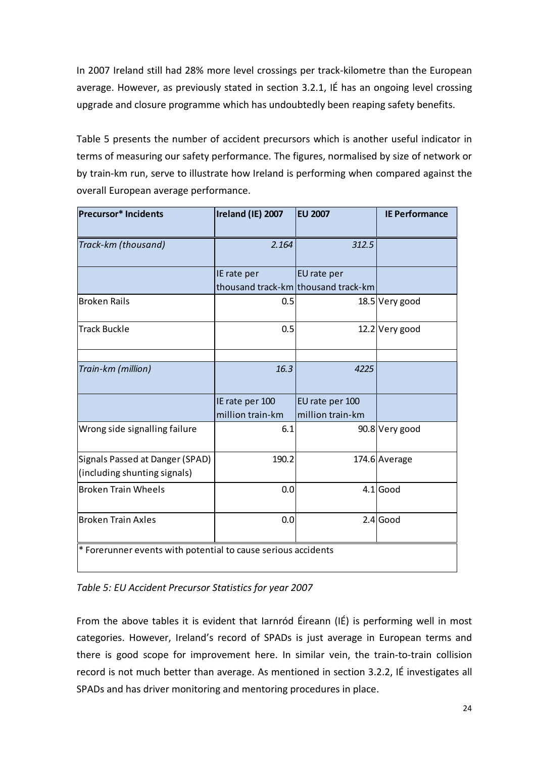In 2007 Ireland still had 28% more level crossings per track-kilometre than the European average. However, as previously stated in section 3.2.1, IÉ has an ongoing level crossing upgrade and closure programme which has undoubtedly been reaping safety benefits.

Table 5 presents the number of accident precursors which is another useful indicator in terms of measuring our safety performance. The figures, normalised by size of network or by train-km run, serve to illustrate how Ireland is performing when compared against the overall European average performance.

| <b>Precursor* Incidents</b>                                     | Ireland (IE) 2007                   | <b>EU 2007</b>                                     | <b>IE Performance</b> |
|-----------------------------------------------------------------|-------------------------------------|----------------------------------------------------|-----------------------|
| Track-km (thousand)                                             | 2.164                               | 312.5                                              |                       |
|                                                                 | IE rate per                         | EU rate per<br>thousand track-km thousand track-km |                       |
| <b>Broken Rails</b>                                             | 0.5                                 |                                                    | 18.5 Very good        |
| <b>Track Buckle</b>                                             | 0.5                                 |                                                    | $12.2$ Very good      |
| Train-km (million)                                              | 16.3                                | 4225                                               |                       |
|                                                                 | IE rate per 100<br>million train-km | EU rate per 100<br>million train-km                |                       |
| Wrong side signalling failure                                   | 6.1                                 |                                                    | 90.8 Very good        |
| Signals Passed at Danger (SPAD)<br>(including shunting signals) | 190.2                               |                                                    | 174.6 Average         |
| <b>Broken Train Wheels</b>                                      | 0.0                                 |                                                    | $4.1$ Good            |
| <b>Broken Train Axles</b>                                       | 0.0                                 |                                                    | $2.4$ Good            |
| * Forerunner events with potential to cause serious accidents   |                                     |                                                    |                       |

*Table 5: EU Accident Precursor Statistics for year 2007*

From the above tables it is evident that Iarnród Éireann (IÉ) is performing well in most categories. However, Ireland's record of SPADs is just average in European terms and there is good scope for improvement here. In similar vein, the train-to-train collision record is not much better than average. As mentioned in section 3.2.2, IÉ investigates all SPADs and has driver monitoring and mentoring procedures in place.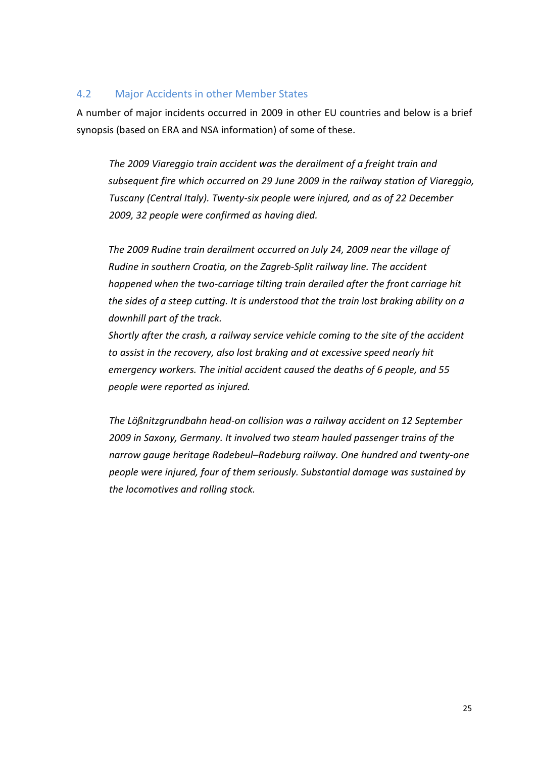#### 4.2 Major Accidents in other Member States

A number of major incidents occurred in 2009 in other EU countries and below is a brief synopsis (based on ERA and NSA information) of some of these.

*The 2009 Viareggio train accident was the [derailment](http://en.wikipedia.org/wiki/Derailment) of a freight train and subsequent fire which occurred on 29 June 2009 in the railway station of [Viareggio,](http://en.wikipedia.org/wiki/Viareggio) [Tuscany](http://en.wikipedia.org/wiki/Tuscany) [\(Central Italy\)](http://en.wikipedia.org/wiki/Central_Italy). Twenty-six people were injured, and as of 22 December 2009, 32 people were confirmed as having died.*

*The 2009 Rudine train derailment occurred on July 24, 2009 near the village of [Rudine](http://en.wikipedia.org/w/index.php?title=Rudine&action=edit&redlink=1) in southern [Croatia,](http://en.wikipedia.org/wiki/Croatia) on the [Zagreb-](http://en.wikipedia.org/wiki/Zagreb)[Split](http://en.wikipedia.org/wiki/Split_(city)) railway line. The accident happened when the two-carriage [tilting train](http://en.wikipedia.org/wiki/Tilting_train) derailed after the front carriage hit the sides of a steep cutting. It is understood that the train lost braking ability on a downhill part of the track.*

*Shortly after the crash, a railway service vehicle coming to the site of the accident to assist in the recovery, also lost braking and at excessive speed nearly hit emergency workers. The initial accident caused the deaths of 6 people, and 55 people were reported as injured.* 

*The Lößnitzgrundbahn head-on collision was a railway accident on 12 September 2009 in [Saxony,](http://en.wikipedia.org/wiki/Saxony) [Germany.](http://en.wikipedia.org/wiki/Germany) It involved two [steam hauled](http://en.wikipedia.org/wiki/Steam_locomotive) passenger trains of the [narrow gauge](http://en.wikipedia.org/wiki/Narrow_gauge) [heritage](http://en.wikipedia.org/wiki/Heritage_railway) Radebeul–[Radeburg railway.](http://en.wikipedia.org/wiki/Radebeul%E2%80%93Radeburg_railway) One hundred and twenty-one people were injured, four of them seriously. Substantial damage was sustained by the locomotives and rolling stock.*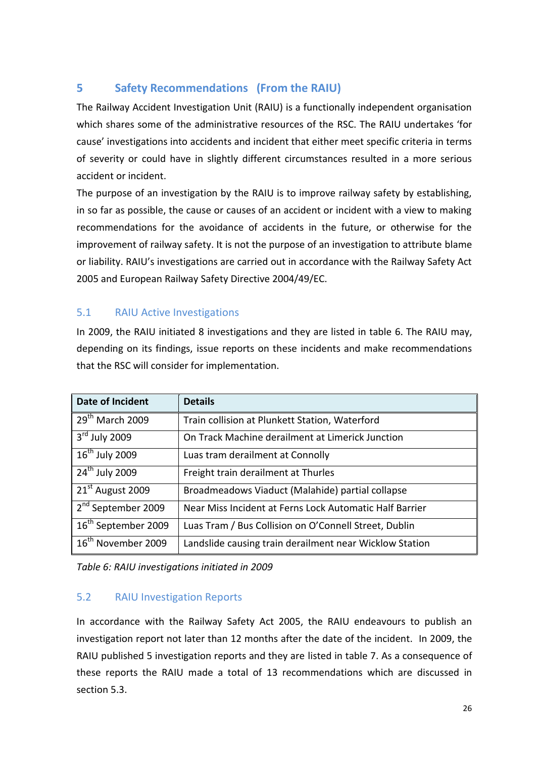## **5 Safety Recommendations (From the RAIU)**

The Railway Accident Investigation Unit (RAIU) is a functionally independent organisation which shares some of the administrative resources of the RSC. The RAIU undertakes 'for cause' investigations into accidents and incident that either meet specific criteria in terms of severity or could have in slightly different circumstances resulted in a more serious accident or incident.

The purpose of an investigation by the RAIU is to improve railway safety by establishing, in so far as possible, the cause or causes of an accident or incident with a view to making recommendations for the avoidance of accidents in the future, or otherwise for the improvement of railway safety. It is not the purpose of an investigation to attribute blame or liability. RAIU's investigations are carried out in accordance with the Railway Safety Act 2005 and European Railway Safety Directive 2004/49/EC.

### 5.1 RAIU Active Investigations

In 2009, the RAIU initiated 8 investigations and they are listed in table 6. The RAIU may, depending on its findings, issue reports on these incidents and make recommendations that the RSC will consider for implementation.

| Date of Incident                | <b>Details</b>                                          |
|---------------------------------|---------------------------------------------------------|
| $29th$ March 2009               | Train collision at Plunkett Station, Waterford          |
| $3rd$ July 2009                 | On Track Machine derailment at Limerick Junction        |
| $16th$ July 2009                | Luas tram derailment at Connolly                        |
| 24 <sup>th</sup> July 2009      | Freight train derailment at Thurles                     |
| 21 <sup>st</sup> August 2009    | Broadmeadows Viaduct (Malahide) partial collapse        |
| 2 <sup>nd</sup> September 2009  | Near Miss Incident at Ferns Lock Automatic Half Barrier |
| 16 <sup>th</sup> September 2009 | Luas Tram / Bus Collision on O'Connell Street, Dublin   |
| 16 <sup>th</sup> November 2009  | Landslide causing train derailment near Wicklow Station |

*Table 6: RAIU investigations initiated in 2009*

#### 5.2 RAIU Investigation Reports

In accordance with the Railway Safety Act 2005, the RAIU endeavours to publish an investigation report not later than 12 months after the date of the incident. In 2009, the RAIU published 5 investigation reports and they are listed in table 7. As a consequence of these reports the RAIU made a total of 13 recommendations which are discussed in section 5.3.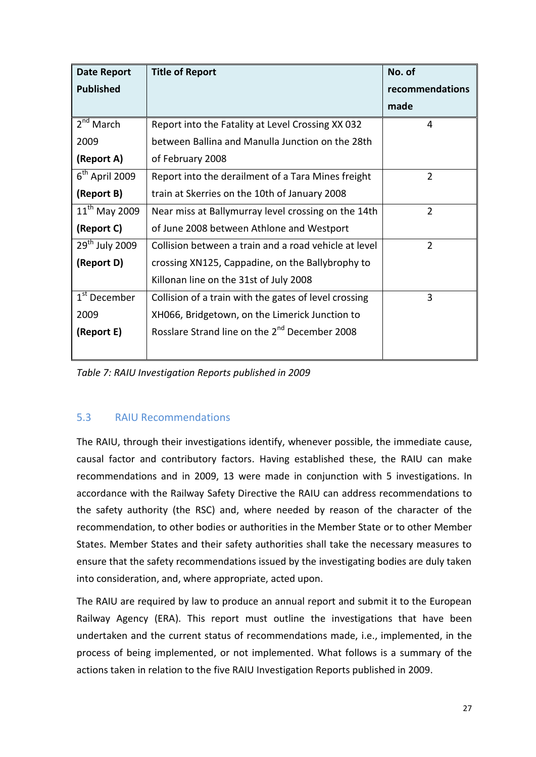| <b>Date Report</b>       | <b>Title of Report</b>                                    | No. of          |
|--------------------------|-----------------------------------------------------------|-----------------|
| <b>Published</b>         |                                                           | recommendations |
|                          |                                                           | made            |
| 2 <sup>nd</sup> March    | Report into the Fatality at Level Crossing XX 032         | 4               |
| 2009                     | between Ballina and Manulla Junction on the 28th          |                 |
| (Report A)               | of February 2008                                          |                 |
| $6th$ April 2009         | Report into the derailment of a Tara Mines freight        | $\overline{2}$  |
| (Report B)               | train at Skerries on the 10th of January 2008             |                 |
| $11^{th}$ May 2009       | Near miss at Ballymurray level crossing on the 14th       | $\overline{2}$  |
| (Report C)               | of June 2008 between Athlone and Westport                 |                 |
| $29th$ July 2009         | Collision between a train and a road vehicle at level     | $\overline{2}$  |
| (Report D)               | crossing XN125, Cappadine, on the Ballybrophy to          |                 |
|                          | Killonan line on the 31st of July 2008                    |                 |
| 1 <sup>st</sup> December | Collision of a train with the gates of level crossing     | 3               |
| 2009                     | XH066, Bridgetown, on the Limerick Junction to            |                 |
| (Report E)               | Rosslare Strand line on the 2 <sup>nd</sup> December 2008 |                 |
|                          |                                                           |                 |

*Table 7: RAIU Investigation Reports published in 2009*

#### 5.3 RAIU Recommendations

The RAIU, through their investigations identify, whenever possible, the immediate cause, causal factor and contributory factors. Having established these, the RAIU can make recommendations and in 2009, 13 were made in conjunction with 5 investigations. In accordance with the Railway Safety Directive the RAIU can address recommendations to the safety authority (the RSC) and, where needed by reason of the character of the recommendation, to other bodies or authorities in the Member State or to other Member States. Member States and their safety authorities shall take the necessary measures to ensure that the safety recommendations issued by the investigating bodies are duly taken into consideration, and, where appropriate, acted upon.

The RAIU are required by law to produce an annual report and submit it to the European Railway Agency (ERA). This report must outline the investigations that have been undertaken and the current status of recommendations made, i.e., implemented, in the process of being implemented, or not implemented. What follows is a summary of the actions taken in relation to the five RAIU Investigation Reports published in 2009.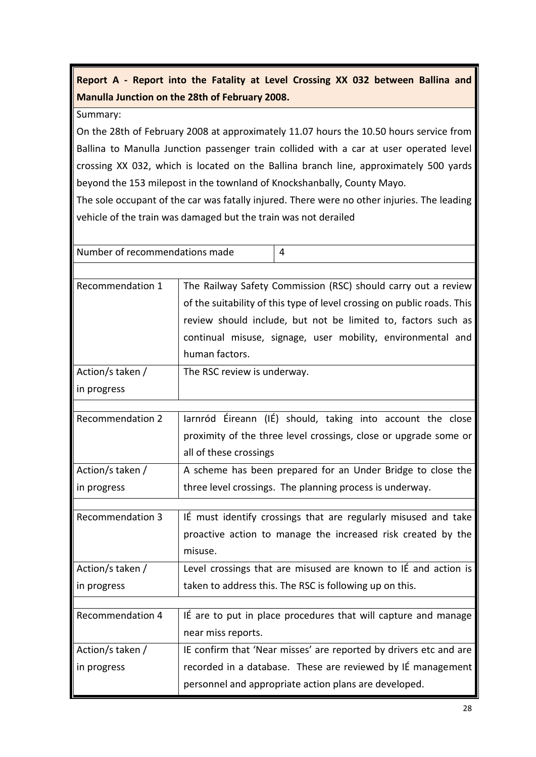**Report A - Report into the Fatality at Level Crossing XX 032 between Ballina and Manulla Junction on the 28th of February 2008.**

Summary:

On the 28th of February 2008 at approximately 11.07 hours the 10.50 hours service from Ballina to Manulla Junction passenger train collided with a car at user operated level crossing XX 032, which is located on the Ballina branch line, approximately 500 yards beyond the 153 milepost in the townland of Knockshanbally, County Mayo.

The sole occupant of the car was fatally injured. There were no other injuries. The leading vehicle of the train was damaged but the train was not derailed

| Number of recommendations made<br>4 |                                                                         |  |
|-------------------------------------|-------------------------------------------------------------------------|--|
|                                     |                                                                         |  |
| Recommendation 1                    | The Railway Safety Commission (RSC) should carry out a review           |  |
|                                     | of the suitability of this type of level crossing on public roads. This |  |
|                                     | review should include, but not be limited to, factors such as           |  |
|                                     | continual misuse, signage, user mobility, environmental and             |  |
|                                     | human factors.                                                          |  |
| Action/s taken /                    | The RSC review is underway.                                             |  |
| in progress                         |                                                                         |  |
|                                     |                                                                         |  |
| <b>Recommendation 2</b>             | Jarnród Éireann (IÉ) should, taking into account the close              |  |
|                                     | proximity of the three level crossings, close or upgrade some or        |  |
|                                     | all of these crossings                                                  |  |
| Action/s taken /                    | A scheme has been prepared for an Under Bridge to close the             |  |
| in progress                         | three level crossings. The planning process is underway.                |  |
|                                     |                                                                         |  |
| <b>Recommendation 3</b>             | IÉ must identify crossings that are regularly misused and take          |  |
|                                     | proactive action to manage the increased risk created by the            |  |
|                                     | misuse.                                                                 |  |
| Action/s taken /                    | Level crossings that are misused are known to IÉ and action is          |  |
| in progress                         | taken to address this. The RSC is following up on this.                 |  |
|                                     |                                                                         |  |
| Recommendation 4                    | IÉ are to put in place procedures that will capture and manage          |  |
|                                     | near miss reports.                                                      |  |
| Action/s taken /                    | IE confirm that 'Near misses' are reported by drivers etc and are       |  |
| in progress                         | recorded in a database. These are reviewed by IÉ management             |  |
|                                     | personnel and appropriate action plans are developed.                   |  |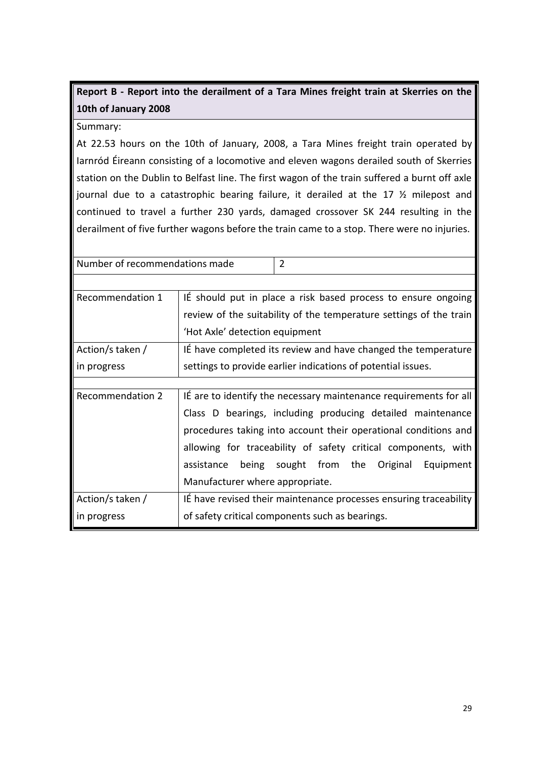# **Report B - Report into the derailment of a Tara Mines freight train at Skerries on the 10th of January 2008**

#### Summary:

At 22.53 hours on the 10th of January, 2008, a Tara Mines freight train operated by Iarnród Éireann consisting of a locomotive and eleven wagons derailed south of Skerries station on the Dublin to Belfast line. The first wagon of the train suffered a burnt off axle journal due to a catastrophic bearing failure, it derailed at the 17 ½ milepost and continued to travel a further 230 yards, damaged crossover SK 244 resulting in the derailment of five further wagons before the train came to a stop. There were no injuries.

| Number of recommendations made |                                 | $\overline{2}$                                                     |
|--------------------------------|---------------------------------|--------------------------------------------------------------------|
|                                |                                 |                                                                    |
| Recommendation 1               |                                 | It should put in place a risk based process to ensure ongoing      |
|                                |                                 | review of the suitability of the temperature settings of the train |
|                                | 'Hot Axle' detection equipment  |                                                                    |
| Action/s taken /               |                                 | It have completed its review and have changed the temperature      |
| in progress                    |                                 | settings to provide earlier indications of potential issues.       |
|                                |                                 |                                                                    |
| <b>Recommendation 2</b>        |                                 | It are to identify the necessary maintenance requirements for all  |
|                                |                                 | Class D bearings, including producing detailed maintenance         |
|                                |                                 | procedures taking into account their operational conditions and    |
|                                |                                 | allowing for traceability of safety critical components, with      |
|                                | being<br>assistance             | sought from the<br>Original<br>Equipment                           |
|                                | Manufacturer where appropriate. |                                                                    |
| Action/s taken /               |                                 | It have revised their maintenance processes ensuring traceability  |
| in progress                    |                                 | of safety critical components such as bearings.                    |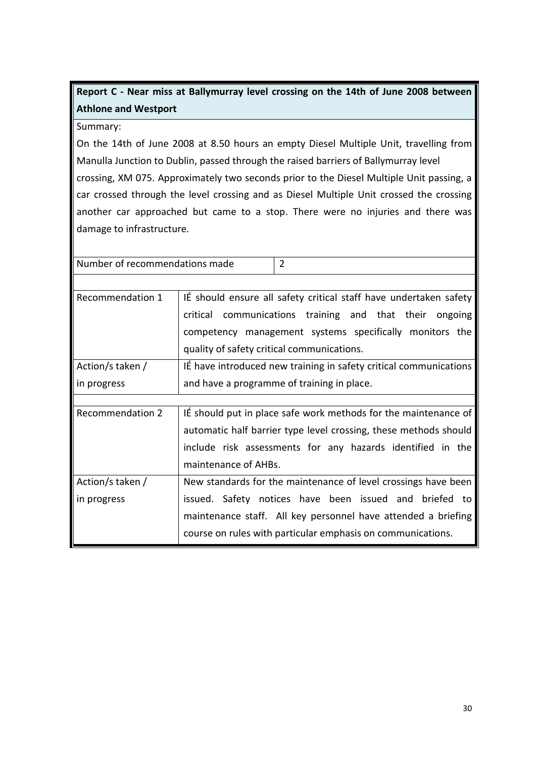# **Report C - Near miss at Ballymurray level crossing on the 14th of June 2008 between Athlone and Westport**

Summary:

On the 14th of June 2008 at 8.50 hours an empty Diesel Multiple Unit, travelling from Manulla Junction to Dublin, passed through the raised barriers of Ballymurray level crossing, XM 075. Approximately two seconds prior to the Diesel Multiple Unit passing, a car crossed through the level crossing and as Diesel Multiple Unit crossed the crossing another car approached but came to a stop. There were no injuries and there was damage to infrastructure.

| Number of recommendations made | $\overline{2}$                                                    |
|--------------------------------|-------------------------------------------------------------------|
|                                |                                                                   |
| Recommendation 1               | IÉ should ensure all safety critical staff have undertaken safety |
|                                | critical communications training and that their ongoing           |
|                                | competency management systems specifically monitors the           |
|                                | quality of safety critical communications.                        |
| Action/s taken /               | It have introduced new training in safety critical communications |
| in progress                    | and have a programme of training in place.                        |
|                                |                                                                   |
| <b>Recommendation 2</b>        | It should put in place safe work methods for the maintenance of   |
|                                | automatic half barrier type level crossing, these methods should  |
|                                | include risk assessments for any hazards identified in the        |
|                                | maintenance of AHBs.                                              |
| Action/s taken /               | New standards for the maintenance of level crossings have been    |
| in progress                    | issued. Safety notices have been issued and briefed to            |
|                                | maintenance staff. All key personnel have attended a briefing     |
|                                | course on rules with particular emphasis on communications.       |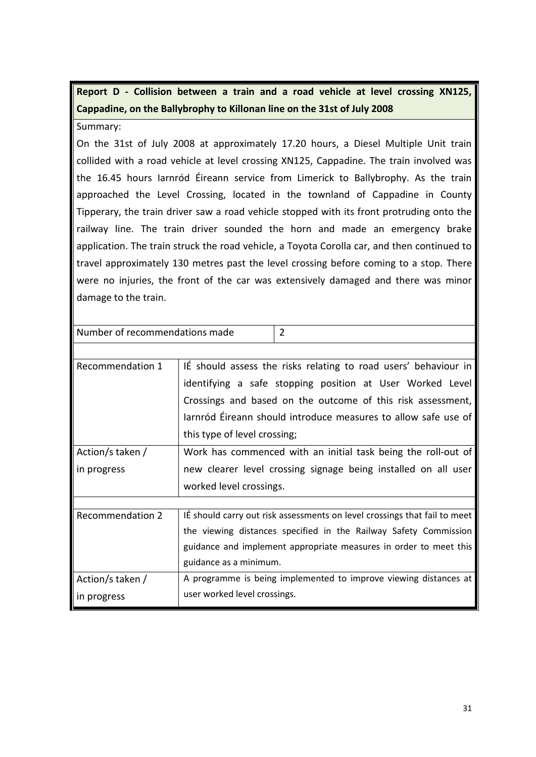**Report D - Collision between a train and a road vehicle at level crossing XN125, Cappadine, on the Ballybrophy to Killonan line on the 31st of July 2008**

Summary:

On the 31st of July 2008 at approximately 17.20 hours, a Diesel Multiple Unit train collided with a road vehicle at level crossing XN125, Cappadine. The train involved was the 16.45 hours Iarnród Éireann service from Limerick to Ballybrophy. As the train approached the Level Crossing, located in the townland of Cappadine in County Tipperary, the train driver saw a road vehicle stopped with its front protruding onto the railway line. The train driver sounded the horn and made an emergency brake application. The train struck the road vehicle, a Toyota Corolla car, and then continued to travel approximately 130 metres past the level crossing before coming to a stop. There were no injuries, the front of the car was extensively damaged and there was minor damage to the train.

| Number of recommendations made | 2                                                                         |
|--------------------------------|---------------------------------------------------------------------------|
|                                |                                                                           |
| Recommendation 1               | IE should assess the risks relating to road users' behaviour in           |
|                                | identifying a safe stopping position at User Worked Level                 |
|                                | Crossings and based on the outcome of this risk assessment,               |
|                                | Jarnród Éireann should introduce measures to allow safe use of            |
|                                | this type of level crossing;                                              |
| Action/s taken /               | Work has commenced with an initial task being the roll-out of             |
| in progress                    | new clearer level crossing signage being installed on all user            |
|                                | worked level crossings.                                                   |
|                                |                                                                           |
| <b>Recommendation 2</b>        | IE should carry out risk assessments on level crossings that fail to meet |
|                                | the viewing distances specified in the Railway Safety Commission          |
|                                | guidance and implement appropriate measures in order to meet this         |
|                                | guidance as a minimum.                                                    |
| Action/s taken /               | A programme is being implemented to improve viewing distances at          |
| in progress                    | user worked level crossings.                                              |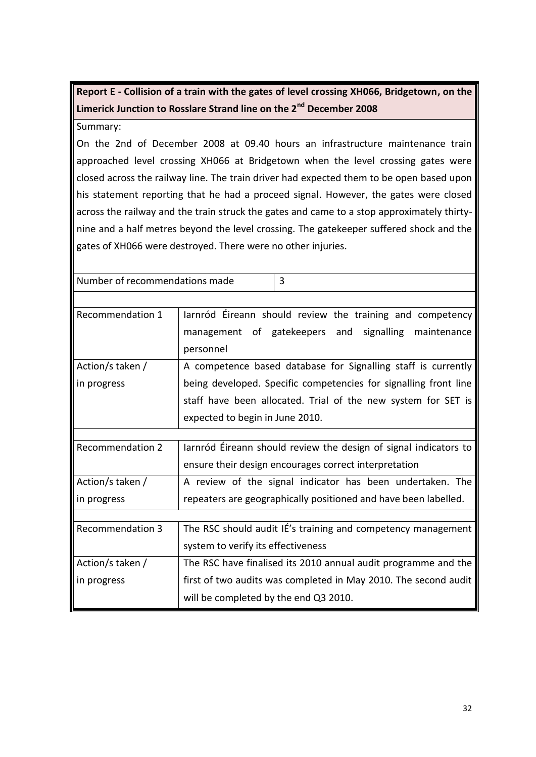**Report E - Collision of a train with the gates of level crossing XH066, Bridgetown, on the Limerick Junction to Rosslare Strand line on the 2nd December 2008**

Summary:

On the 2nd of December 2008 at 09.40 hours an infrastructure maintenance train approached level crossing XH066 at Bridgetown when the level crossing gates were closed across the railway line. The train driver had expected them to be open based upon his statement reporting that he had a proceed signal. However, the gates were closed across the railway and the train struck the gates and came to a stop approximately thirtynine and a half metres beyond the level crossing. The gatekeeper suffered shock and the gates of XH066 were destroyed. There were no other injuries.

| Number of recommendations made | 3                                                                |
|--------------------------------|------------------------------------------------------------------|
|                                |                                                                  |
| Recommendation 1               | larnród Éireann should review the training and competency        |
|                                | management of gatekeepers and signalling maintenance             |
|                                | personnel                                                        |
| Action/s taken /               | A competence based database for Signalling staff is currently    |
| in progress                    | being developed. Specific competencies for signalling front line |
|                                | staff have been allocated. Trial of the new system for SET is    |
|                                | expected to begin in June 2010.                                  |
|                                |                                                                  |
| <b>Recommendation 2</b>        | Jarnród Éireann should review the design of signal indicators to |
|                                | ensure their design encourages correct interpretation            |
| Action/s taken /               | A review of the signal indicator has been undertaken. The        |
| in progress                    | repeaters are geographically positioned and have been labelled.  |
|                                |                                                                  |
| <b>Recommendation 3</b>        | The RSC should audit IÉ's training and competency management     |
|                                | system to verify its effectiveness                               |
| Action/s taken /               | The RSC have finalised its 2010 annual audit programme and the   |
| in progress                    | first of two audits was completed in May 2010. The second audit  |
|                                | will be completed by the end Q3 2010.                            |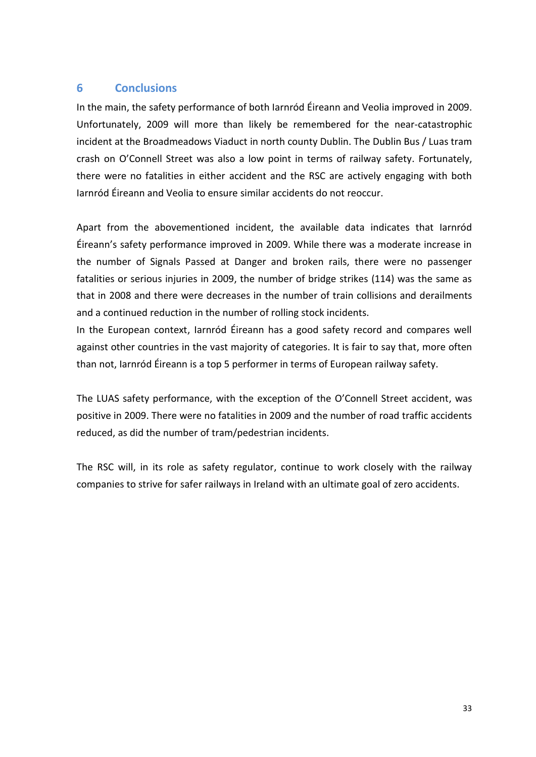#### **6 Conclusions**

In the main, the safety performance of both Iarnród Éireann and Veolia improved in 2009. Unfortunately, 2009 will more than likely be remembered for the near-catastrophic incident at the Broadmeadows Viaduct in north county Dublin. The Dublin Bus / Luas tram crash on O'Connell Street was also a low point in terms of railway safety. Fortunately, there were no fatalities in either accident and the RSC are actively engaging with both Iarnród Éireann and Veolia to ensure similar accidents do not reoccur.

Apart from the abovementioned incident, the available data indicates that Iarnród Éireann's safety performance improved in 2009. While there was a moderate increase in the number of Signals Passed at Danger and broken rails, there were no passenger fatalities or serious injuries in 2009, the number of bridge strikes (114) was the same as that in 2008 and there were decreases in the number of train collisions and derailments and a continued reduction in the number of rolling stock incidents.

In the European context, Iarnród Éireann has a good safety record and compares well against other countries in the vast majority of categories. It is fair to say that, more often than not, Iarnród Éireann is a top 5 performer in terms of European railway safety.

The LUAS safety performance, with the exception of the O'Connell Street accident, was positive in 2009. There were no fatalities in 2009 and the number of road traffic accidents reduced, as did the number of tram/pedestrian incidents.

The RSC will, in its role as safety regulator, continue to work closely with the railway companies to strive for safer railways in Ireland with an ultimate goal of zero accidents.